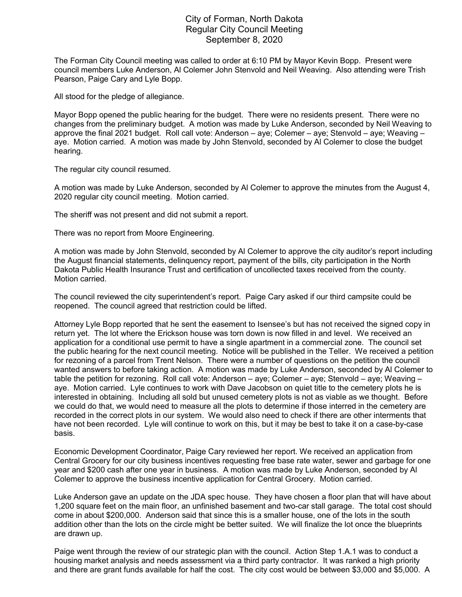## City of Forman, North Dakota Regular City Council Meeting September 8, 2020

The Forman City Council meeting was called to order at 6:10 PM by Mayor Kevin Bopp. Present were council members Luke Anderson, Al Colemer John Stenvold and Neil Weaving. Also attending were Trish Pearson, Paige Cary and Lyle Bopp.

All stood for the pledge of allegiance.

Mayor Bopp opened the public hearing for the budget. There were no residents present. There were no changes from the preliminary budget. A motion was made by Luke Anderson, seconded by Neil Weaving to approve the final 2021 budget. Roll call vote: Anderson – aye; Colemer – aye; Stenvold – aye; Weaving – aye. Motion carried. A motion was made by John Stenvold, seconded by Al Colemer to close the budget hearing.

The regular city council resumed.

A motion was made by Luke Anderson, seconded by Al Colemer to approve the minutes from the August 4, 2020 regular city council meeting. Motion carried.

The sheriff was not present and did not submit a report.

There was no report from Moore Engineering.

A motion was made by John Stenvold, seconded by Al Colemer to approve the city auditor's report including the August financial statements, delinquency report, payment of the bills, city participation in the North Dakota Public Health Insurance Trust and certification of uncollected taxes received from the county. Motion carried.

The council reviewed the city superintendent's report. Paige Cary asked if our third campsite could be reopened. The council agreed that restriction could be lifted.

Attorney Lyle Bopp reported that he sent the easement to Isensee's but has not received the signed copy in return yet. The lot where the Erickson house was torn down is now filled in and level. We received an application for a conditional use permit to have a single apartment in a commercial zone. The council set the public hearing for the next council meeting. Notice will be published in the Teller. We received a petition for rezoning of a parcel from Trent Nelson. There were a number of questions on the petition the council wanted answers to before taking action. A motion was made by Luke Anderson, seconded by Al Colemer to table the petition for rezoning. Roll call vote: Anderson – aye; Colemer – aye; Stenvold – aye; Weaving – aye. Motion carried. Lyle continues to work with Dave Jacobson on quiet title to the cemetery plots he is interested in obtaining. Including all sold but unused cemetery plots is not as viable as we thought. Before we could do that, we would need to measure all the plots to determine if those interred in the cemetery are recorded in the correct plots in our system. We would also need to check if there are other interments that have not been recorded. Lyle will continue to work on this, but it may be best to take it on a case-by-case basis.

Economic Development Coordinator, Paige Cary reviewed her report. We received an application from Central Grocery for our city business incentives requesting free base rate water, sewer and garbage for one year and \$200 cash after one year in business. A motion was made by Luke Anderson, seconded by Al Colemer to approve the business incentive application for Central Grocery. Motion carried.

Luke Anderson gave an update on the JDA spec house. They have chosen a floor plan that will have about 1,200 square feet on the main floor, an unfinished basement and two-car stall garage. The total cost should come in about \$200,000. Anderson said that since this is a smaller house, one of the lots in the south addition other than the lots on the circle might be better suited. We will finalize the lot once the blueprints are drawn up.

Paige went through the review of our strategic plan with the council. Action Step 1.A.1 was to conduct a housing market analysis and needs assessment via a third party contractor. It was ranked a high priority and there are grant funds available for half the cost. The city cost would be between \$3,000 and \$5,000. A